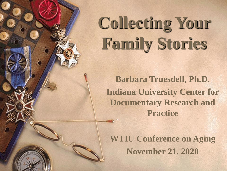# **Collecting Your Family Stories**

**Barbara Truesdell, Ph.D. Indiana University Center for Documentary Research and Practice**

**WTIU Conference on Aging November 21, 2020**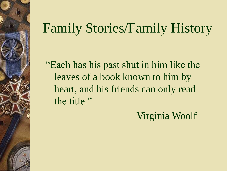### Family Stories/Family History

"Each has his past shut in him like the leaves of a book known to him by heart, and his friends can only read the title."

Virginia Woolf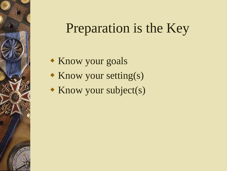### Preparation is the Key

- Know your goals
- $\bullet$  Know your setting(s)
- $\triangleleft$  Know your subject(s)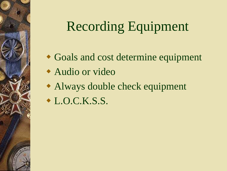## Recording Equipment

- Goals and cost determine equipment
- Audio or video
- Always double check equipment
- $\bullet$  L.O.C.K.S.S.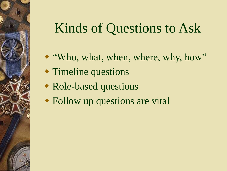### Kinds of Questions to Ask

- "Who, what, when, where, why, how"
- Timeline questions
- Role-based questions
- Follow up questions are vital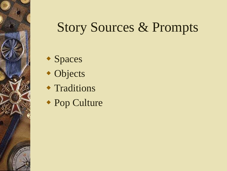### Story Sources & Prompts

- Spaces
- Objects
- **\* Traditions**
- Pop Culture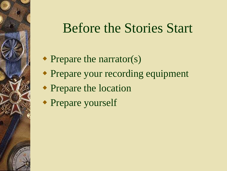#### Before the Stories Start

- Prepare the narrator(s)
- Prepare your recording equipment
- Prepare the location
- Prepare yourself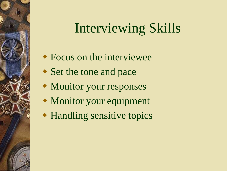### Interviewing Skills

- Focus on the interviewee
- Set the tone and pace
- Monitor your responses
- Monitor your equipment
- Handling sensitive topics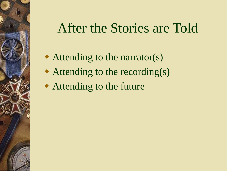#### After the Stories are Told

- Attending to the narrator(s)
- Attending to the recording(s)
- Attending to the future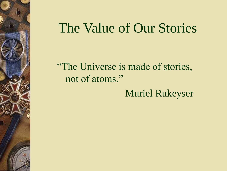#### The Value of Our Stories

"The Universe is made of stories, not of atoms."

Muriel Rukeyser